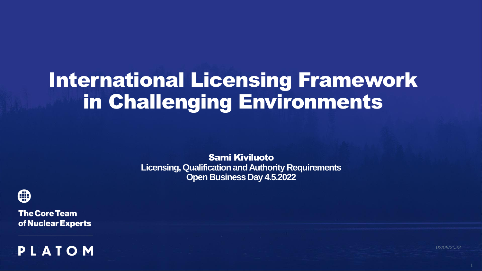# International Licensing Framework in Challenging Environments

Sami Kiviluoto **Licensing, Qualification and Authority Requirements Open Business Day 4.5.2022**



**The Core Team** of Nuclear Experts



*02/05/2022*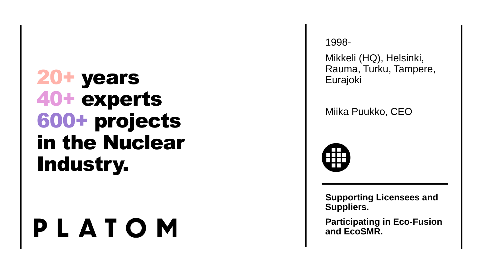# 20+ years 40+ experts 600+ projects in the Nuclear Industry.

# PLATOM

1998 -

Mikkeli (HQ), Helsinki, Rauma, Turku, Tampere, Eurajoki

Miika Puukko, CEO



**Supporting Licensees and Suppliers.**

**Participating in Eco-Fusion and EcoSMR .**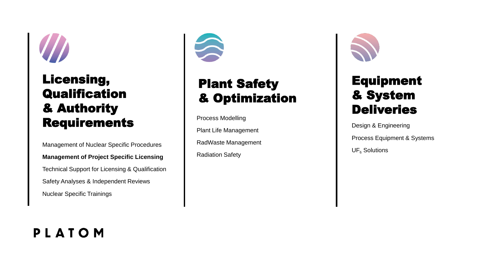

#### Licensing, **Qualification** & Authority **Requirements**

Management of Nuclear Specific Procedures **Management of Project Specific Licensing** Technical Support for Licensing & Qualification Safety Analyses & Independent Reviews Nuclear Specific Trainings



#### Plant Safety & Optimization

Process Modelling

Plant Life Management

RadWaste Management

Radiation Safety



#### Equipment & System **Deliveries**

Design & Engineering

Process Equipment & Systems

UF <sup>6</sup> Solutions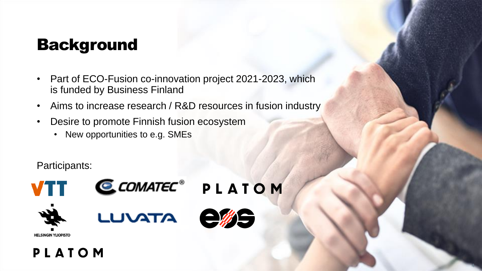# Background

- Part of ECO-Fusion co-innovation project 2021-2023, which is funded by Business Finland
- Aims to increase research / R&D resources in fusion industry
- Desire to promote Finnish fusion ecosystem
	- New opportunities to e.g. SMEs

Participants:





CCOMATEC<sup>®</sup> PLATOM







4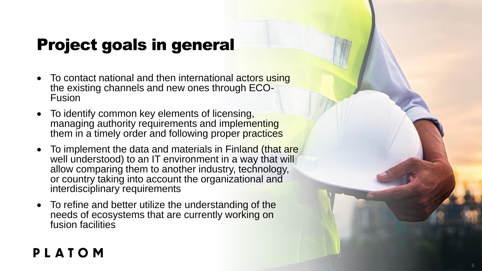# Project goals in general

- To contact national and then international actors using the existing channels and new ones through ECO-Fusion
- To identify common key elements of licensing, managing authority requirements and implementing them in a timely order and following proper practices
- To implement the data and materials in Finland (that are well understood) to an IT environment in a way that will allow comparing them to another industry, technology, or country taking into account the organizational and interdisciplinary requirements
- To refine and better utilize the understanding of the needs of ecosystems that are currently working on fusion facilities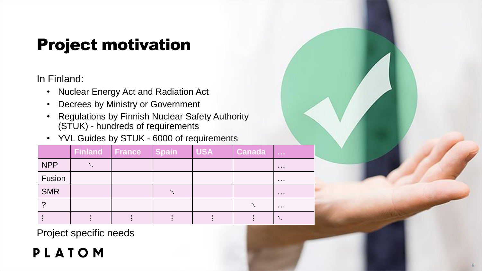# Project motivation

In Finland:

- Nuclear Energy Act and Radiation Act
- Decrees by Ministry or Government
- Regulations by Finnish Nuclear Safety Authority (STUK) - hundreds of requirements
- YVL Guides by STUK 6000 of requirements

|            | <b>Finland France</b> | <b>Spain</b> | <b>USA</b> | <b>Canada</b> | $\sim 0.001$ |
|------------|-----------------------|--------------|------------|---------------|--------------|
| <b>NPP</b> |                       |              |            |               | .            |
| Fusion     |                       |              |            |               | $\cdots$     |
| <b>SMR</b> |                       |              |            |               | $\cdots$     |
|            |                       |              |            |               | $\cdots$     |
|            |                       |              |            |               |              |

Project specific needs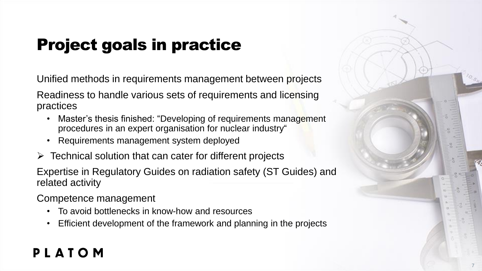# Project goals in practice

Unified methods in requirements management between projects

Readiness to handle various sets of requirements and licensing practices

- Master's thesis finished: "Developing of requirements management procedures in an expert organisation for nuclear industry"
- Requirements management system deployed
- $\triangleright$  Technical solution that can cater for different projects

Expertise in Regulatory Guides on radiation safety (ST Guides) and related activity

Competence management

- To avoid bottlenecks in know-how and resources
- Efficient development of the framework and planning in the projects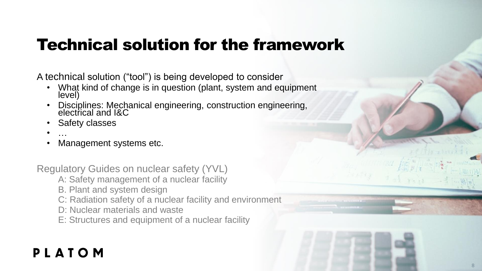## Technical solution for the framework

A technical solution ("tool") is being developed to consider

- What kind of change is in question (plant, system and equipment level)
- Disciplines: Mechanical engineering, construction engineering, electrical and I&C
- Safety classes
- …
- Management systems etc.

Regulatory Guides on nuclear safety (YVL)

- A: Safety management of a nuclear facility
- B. Plant and system design
- C: Radiation safety of a nuclear facility and environment
- D: Nuclear materials and waste
- E: Structures and equipment of a nuclear facility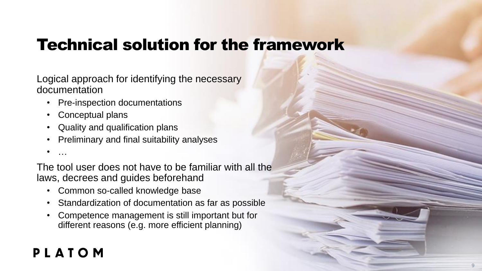# Technical solution for the framework

Logical approach for identifying the necessary documentation

- Pre-inspection documentations
- Conceptual plans
- Quality and qualification plans
- Preliminary and final suitability analyses
- …

The tool user does not have to be familiar with all the laws, decrees and guides beforehand

- Common so-called knowledge base
- Standardization of documentation as far as possible
- Competence management is still important but for different reasons (e.g. more efficient planning)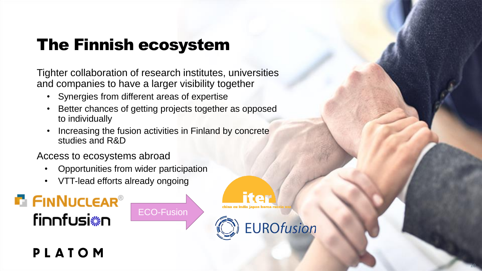# The Finnish ecosystem

Tighter collaboration of research institutes, universities and companies to have a larger visibility together

- Synergies from different areas of expertise
- Better chances of getting projects together as opposed to individually

ECO-Fusion

• Increasing the fusion activities in Finland by concrete studies and R&D

Access to ecosystems abroad

- Opportunities from wider participation
- VTT-lead efforts already ongoing





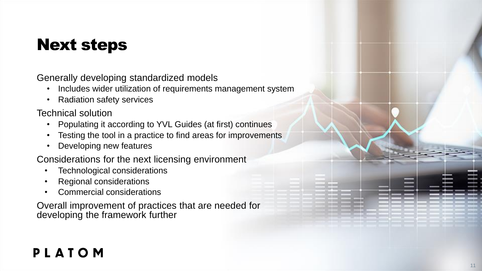# Next steps

Generally developing standardized models

- Includes wider utilization of requirements management system
- Radiation safety services

Technical solution

- Populating it according to YVL Guides (at first) continues
- Testing the tool in a practice to find areas for improvements
- Developing new features

Considerations for the next licensing environment

- Technological considerations
- Regional considerations
- Commercial considerations

Overall improvement of practices that are needed for developing the framework further